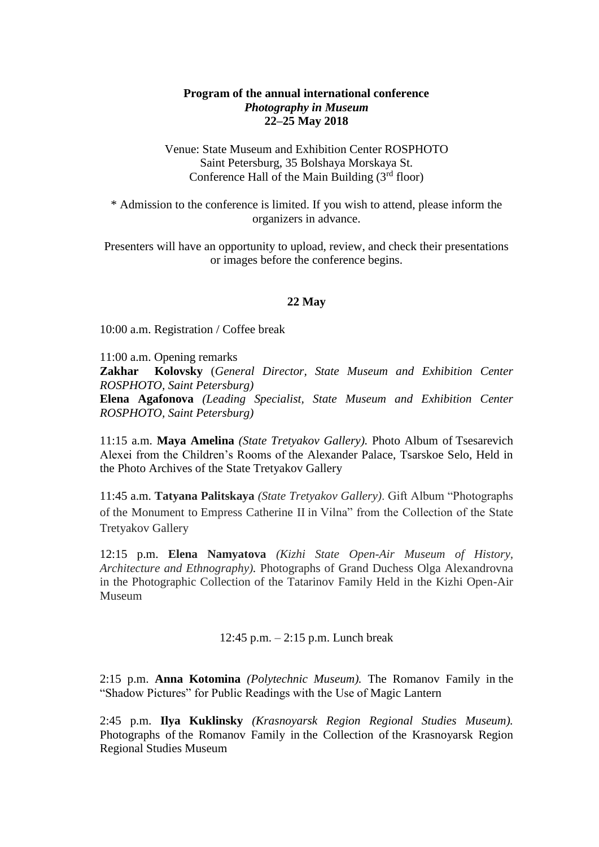# **Program of the annual international conference** *Photography in Museum* **22–25 May 2018**

Venue: State Museum and Exhibition Center ROSPHOTO Saint Petersburg, 35 Bolshaya Morskaya St. Conference Hall of the Main Building  $(3<sup>rd</sup>$  floor)

\* Admission to the conference is limited. If you wish to attend, please inform the organizers in advance.

Presenters will have an opportunity to upload, review, and check their presentations or images before the conference begins.

# **22 May**

10:00 a.m. Registration / Coffee break

11:00 a.m. Opening remarks

**Zakhar Kolovsky** (*General Director, State Museum and Exhibition Center ROSPHOTO, Saint Petersburg)* **Elena Agafonova** *(Leading Specialist, State Museum and Exhibition Center ROSPHOTO, Saint Petersburg)*

11:15 a.m. **Maya Amelina** *(State Tretyakov Gallery).* Photo Album of Tsesarevich Alexei from the Children's Rooms of the Alexander Palace, Tsarskoe Selo, Held in the Photo Archives of the State Tretyakov Gallery

11:45 a.m. **Tatyana Palitskaya** *(State Tretyakov Gallery)*. Gift Album "Photographs of the Monument to Empress Catherine II in Vilna" from the Collection of the State Tretyakov Gallery

12:15 p.m. **Elena Namyatova** *(Kizhi State Open-Air Museum of History, Architecture and Ethnography).* Photographs of Grand Duchess Olga Alexandrovna in the Photographic Collection of the Tatarinov Family Held in the Kizhi Open-Air Museum

12:45 p.m. – 2:15 p.m. Lunch break

2:15 p.m. **Anna Kotomina** *(Polytechnic Museum).* The Romanov Family in the "Shadow Pictures" for Public Readings with the Use of Magic Lantern

2:45 p.m. **Ilya Kuklinsky** *(Krasnoyarsk Region Regional Studies Museum).* Photographs of the Romanov Family in the Collection of the Krasnoyarsk Region Regional Studies Museum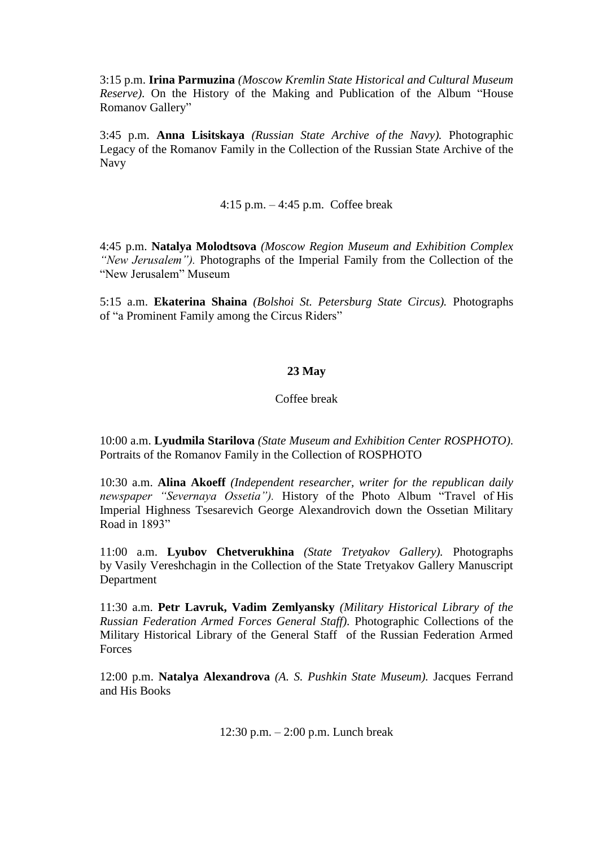3:15 p.m. **Irina Parmuzina** *(Moscow Kremlin State Historical and Cultural Museum Reserve).* On the History of the Making and Publication of the Album "House Romanov Gallery"

3:45 p.m. **Anna Lisitskaya** *(Russian State Archive of the Navy).* Photographic Legacy of the Romanov Family in the Collection of the Russian State Archive of the Navy

4:15 p.m. – 4:45 p.m. Coffee break

4:45 p.m. **Natalya Molodtsova** *(Moscow Region Museum and Exhibition Complex "New Jerusalem").* Photographs of the Imperial Family from the Collection of the "New Jerusalem" Museum

5:15 a.m. **Ekaterina Shaina** *(Bolshoi St. Petersburg State Circus).* Photographs of "a Prominent Family among the Circus Riders"

# **23 May**

## Coffee break

10:00 a.m. **Lyudmila Starilova** *(State Museum and Exhibition Center ROSPHOTO)*. Portraits of the Romanov Family in the Collection of ROSPHOTO

10:30 a.m. **Alina Akoeff** *(Independent researcher, writer for the republican daily newspaper "Severnaya Ossetia").* History of the Photo Album "Travel of His Imperial Highness Tsesarevich George Alexandrovich down the Ossetian Military Road in 1893"

11:00 a.m. **Lyubov Chetverukhina** *(State Tretyakov Gallery).* Photographs by Vasily Vereshchagin in the Collection of the State Tretyakov Gallery Manuscript Department

11:30 a.m. **Petr Lavruk, Vadim Zemlyansky** *(Military Historical Library of the Russian Federation Armed Forces General Staff).* Photographic Collections of the Military Historical Library of the General Staff of the Russian Federation Armed **Forces** 

12:00 p.m. **Natalya Alexandrova** *(A. S. Pushkin State Museum).* Jacques Ferrand and His Books

12:30 p.m. – 2:00 p.m. Lunch break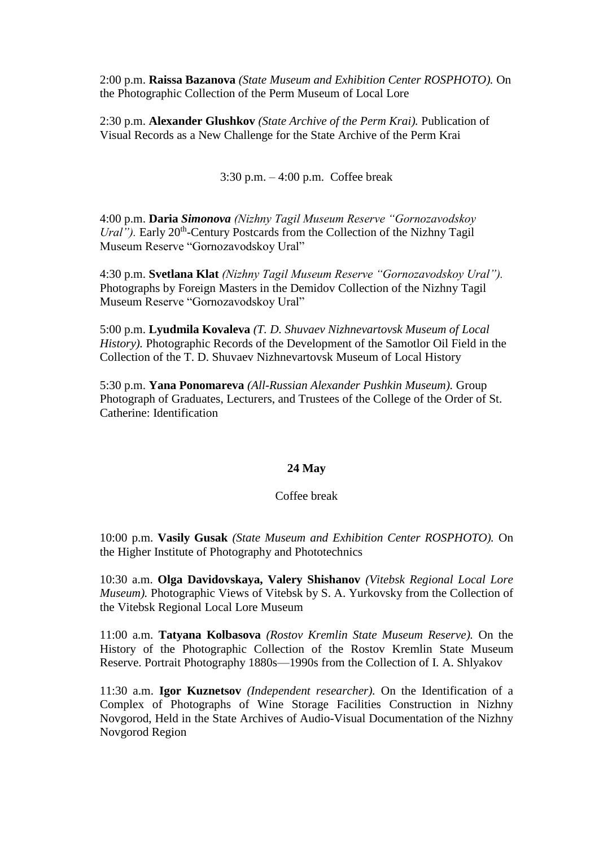2:00 p.m. **Raissa Bazanova** *(State Museum and Exhibition Center ROSPHOTO).* On the Photographic Collection of the Perm Museum of Local Lore

2:30 p.m. **Alexander Glushkov** *(State Archive of the Perm Krai).* Publication of Visual Records as a New Challenge for the State Archive of the Perm Krai

3:30 p.m. – 4:00 p.m. Coffee break

4:00 p.m. **Daria** *Simonova (Nizhny Tagil Museum Reserve "Gornozavodskoy*  Ural"). Early 20<sup>th</sup>-Century Postcards from the Collection of the Nizhny Tagil Museum Reserve "Gornozavodskoy Ural"

4:30 p.m. **Svetlana Klat** *(Nizhny Tagil Museum Reserve "Gornozavodskoy Ural").* Photographs by Foreign Masters in the Demidov Collection of the Nizhny Tagil Museum Reserve "Gornozavodskoy Ural"

5:00 p.m. **Lyudmila Kovaleva** *(T. D. Shuvaev Nizhnevartovsk Museum of Local History).* Photographic Records of the Development of the Samotlor Oil Field in the Collection of the T. D. Shuvaev Nizhnevartovsk Museum of Local History

5:30 p.m. **Yana Ponomareva** *(All-Russian Alexander Pushkin Museum).* Group Photograph of Graduates, Lecturers, and Trustees of the College of the Order of St. Catherine: Identification

## **24 May**

## Coffee break

10:00 p.m. **Vasily Gusak** *(State Museum and Exhibition Center ROSPHOTO).* On the Higher Institute of Photography and Phototechnics

10:30 a.m. **Olga Davidovskaya, Valery Shishanov** *(Vitebsk Regional Local Lore Museum).* Photographic Views of Vitebsk by S. A. Yurkovsky from the Collection of the Vitebsk Regional Local Lore Museum

11:00 a.m. **Tatyana Kolbasova** *(Rostov Kremlin State Museum Reserve).* On the History of the Photographic Collection of the Rostov Kremlin State Museum Reserve. Portrait Photography 1880s—1990s from the Collection of I. A. Shlyakov

11:30 a.m. **Igor Kuznetsov** *(Independent researcher).* On the Identification of a Complex of Photographs of Wine Storage Facilities Construction in Nizhny Novgorod, Held in the State Archives of Audio-Visual Documentation of the Nizhny Novgorod Region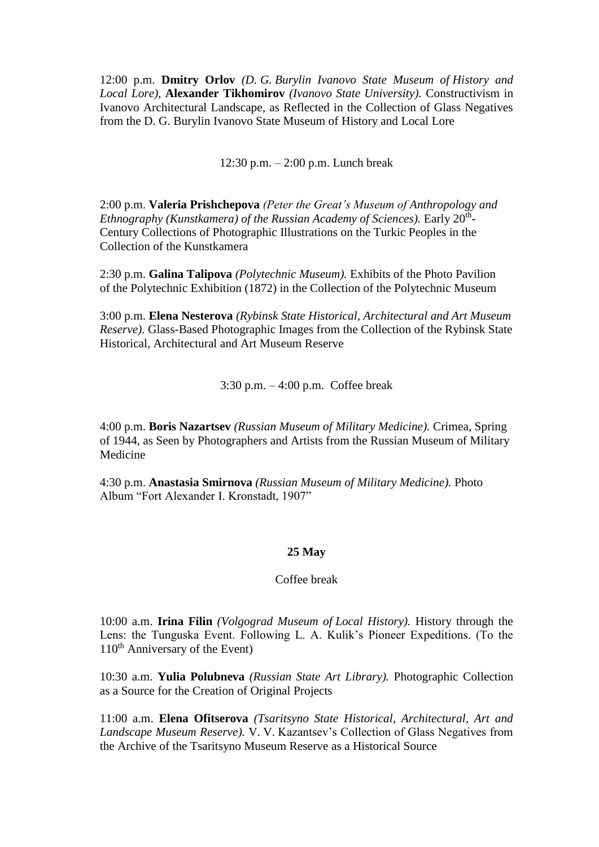12:00 p.m. **Dmitry Orlov** *(D. G. Burylin Ivanovo State Museum of History and Local Lore),* **Alexander Tikhomirov** *(Ivanovo State University).* Constructivism in Ivanovo Architectural Landscape, as Reflected in the Collection of Glass Negatives from the D. G. Burylin Ivanovo State Museum of History and Local Lore

12:30 p.m. – 2:00 p.m. Lunch break

2:00 p.m. **Valeria Prishchepova** *(Peter the Great's Museum of Anthropology and*  Ethnography (Kunstkamera) of the Russian Academy of Sciences). Early 20<sup>th</sup>-Century Collections of Photographic Illustrations on the Turkic Peoples in the Collection of the Kunstkamera

2:30 p.m. **Galina Talipova** *(Polytechnic Museum).* Exhibits of the Photo Pavilion of the Polytechnic Exhibition (1872) in the Collection of the Polytechnic Museum

3:00 p.m. **Elena Nesterova** *(Rybinsk State Historical, Architectural and Art Museum Reserve).* Glass-Based Photographic Images from the Collection of the Rybinsk State Historical, Architectural and Art Museum Reserve

3:30 p.m. – 4:00 p.m. Coffee break

4:00 p.m. **Boris Nazartsev** *(Russian Museum of Military Medicine).* Crimea, Spring of 1944, as Seen by Photographers and Artists from the Russian Museum of Military Medicine

4:30 p.m. **Anastasia Smirnova** *(Russian Museum of Military Medicine).* Photo Album "Fort Alexander I. Kronstadt, 1907"

## **25 May**

Coffee break

10:00 a.m. **Irina Filin** *(Volgograd Museum of Local History).* History through the Lens: the Tunguska Event. Following L. A. Kulik's Pioneer Expeditions. (To the  $110<sup>th</sup>$  Anniversary of the Event)

10:30 a.m. **Yulia Polubneva** *(Russian State Art Library).* Photographic Collection as a Source for the Creation of Original Projects

11:00 a.m. **Elena Ofitserova** *(Tsaritsyno State Historical, Architectural, Art and Landscape Museum Reserve).* V. V. Kazantsev's Collection of Glass Negatives from the Archive of the Tsaritsyno Museum Reserve as a Historical Source